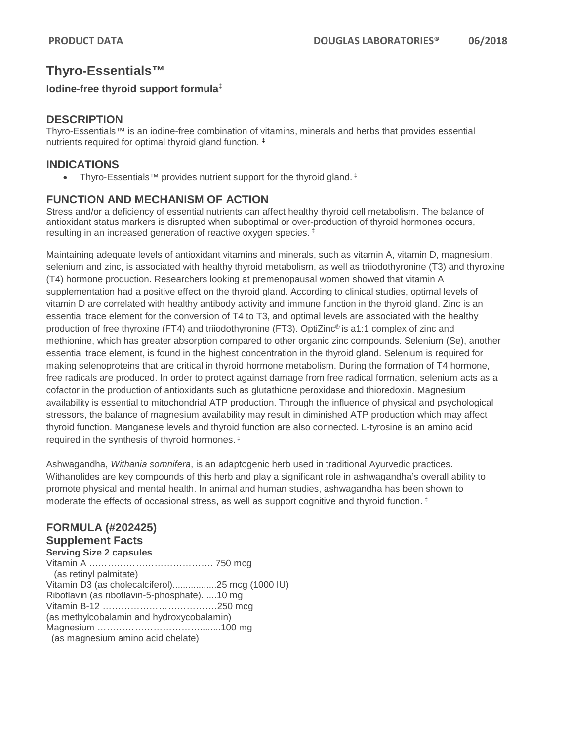# **Thyro-Essentials™**

#### **Iodine-free thyroid support formula‡**

# **DESCRIPTION**

Thyro-Essentials™ is an iodine-free combination of vitamins, minerals and herbs that provides essential nutrients required for optimal thyroid gland function. ‡

### **INDICATIONS**

• Thyro-Essentials™ provides nutrient support for the thyroid gland. ‡

# **FUNCTION AND MECHANISM OF ACTION**

Stress and/or a deficiency of essential nutrients can affect healthy thyroid cell metabolism. The balance of antioxidant status markers is disrupted when suboptimal or over-production of thyroid hormones occurs, resulting in an increased generation of reactive oxygen species. ‡

Maintaining adequate levels of antioxidant vitamins and minerals, such as vitamin A, vitamin D, magnesium, selenium and zinc, is associated with healthy thyroid metabolism, as well as triiodothyronine (T3) and thyroxine (T4) hormone production. Researchers looking at premenopausal women showed that vitamin A supplementation had a positive effect on the thyroid gland. According to clinical studies, optimal levels of vitamin D are correlated with healthy antibody activity and immune function in the thyroid gland. Zinc is an essential trace element for the conversion of T4 to T3, and optimal levels are associated with the healthy production of free thyroxine (FT4) and triiodothyronine (FT3). OptiZinc® is a1:1 complex of zinc and methionine, which has greater absorption compared to other organic zinc compounds. Selenium (Se), another essential trace element, is found in the highest concentration in the thyroid gland. Selenium is required for making selenoproteins that are critical in thyroid hormone metabolism. During the formation of T4 hormone, free radicals are produced. In order to protect against damage from free radical formation, selenium acts as a cofactor in the production of antioxidants such as glutathione peroxidase and thioredoxin. Magnesium availability is essential to mitochondrial ATP production. Through the influence of physical and psychological stressors, the balance of magnesium availability may result in diminished ATP production which may affect thyroid function. Manganese levels and thyroid function are also connected. L-tyrosine is an amino acid required in the synthesis of thyroid hormones. ‡

Ashwagandha, *Withania somnifera*, is an adaptogenic herb used in traditional Ayurvedic practices. Withanolides are key compounds of this herb and play a significant role in ashwagandha's overall ability to promote physical and mental health. In animal and human studies, ashwagandha has been shown to moderate the effects of occasional stress, as well as support cognitive and thyroid function. ‡

# **FORMULA (#202425)**

# **Supplement Facts**

**Serving Size 2 capsules** Vitamin A …………………………………. 750 mcg (as retinyl palmitate) Vitamin D3 (as cholecalciferol).................25 mcg (1000 IU) Riboflavin (as riboflavin-5-phosphate)......10 mg Vitamin B-12 ……………………………….250 mcg (as methylcobalamin and hydroxycobalamin) Magnesium ……………………………........100 mg (as magnesium amino acid chelate)